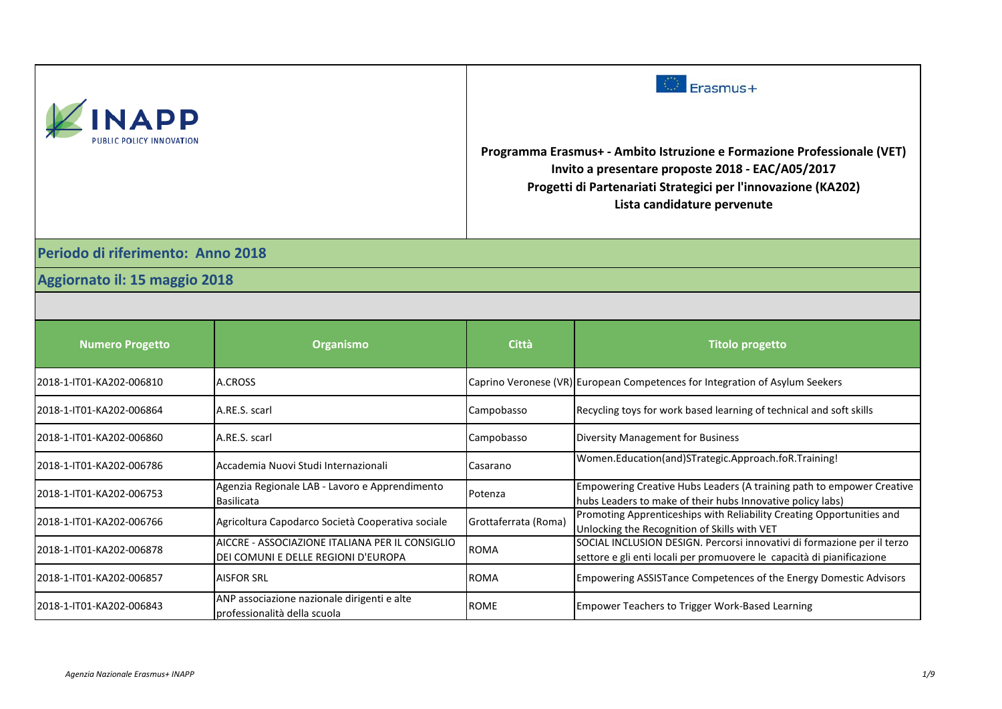| <b>NAPP</b>                       |                                                                                        | Erasmus+<br>Programma Erasmus+ - Ambito Istruzione e Formazione Professionale (VET)<br>Invito a presentare proposte 2018 - EAC/A05/2017<br>Progetti di Partenariati Strategici per l'innovazione (KA202)<br>Lista candidature pervenute |                                                                                                                                                   |
|-----------------------------------|----------------------------------------------------------------------------------------|-----------------------------------------------------------------------------------------------------------------------------------------------------------------------------------------------------------------------------------------|---------------------------------------------------------------------------------------------------------------------------------------------------|
| Periodo di riferimento: Anno 2018 |                                                                                        |                                                                                                                                                                                                                                         |                                                                                                                                                   |
| Aggiornato il: 15 maggio 2018     |                                                                                        |                                                                                                                                                                                                                                         |                                                                                                                                                   |
|                                   |                                                                                        |                                                                                                                                                                                                                                         |                                                                                                                                                   |
| <b>Numero Progetto</b>            | <b>Organismo</b>                                                                       | <b>Città</b>                                                                                                                                                                                                                            | <b>Titolo progetto</b>                                                                                                                            |
| 2018-1-IT01-KA202-006810          | A.CROSS                                                                                |                                                                                                                                                                                                                                         | Caprino Veronese (VR) European Competences for Integration of Asylum Seekers                                                                      |
| 2018-1-IT01-KA202-006864          | A.RE.S. scarl                                                                          | Campobasso                                                                                                                                                                                                                              | Recycling toys for work based learning of technical and soft skills                                                                               |
| 2018-1-IT01-KA202-006860          | A.RE.S. scarl                                                                          | Campobasso                                                                                                                                                                                                                              | Diversity Management for Business                                                                                                                 |
| 2018-1-IT01-KA202-006786          | Accademia Nuovi Studi Internazionali                                                   | Casarano                                                                                                                                                                                                                                | Women.Education(and)STrategic.Approach.foR.Training!                                                                                              |
| 2018-1-IT01-KA202-006753          | Agenzia Regionale LAB - Lavoro e Apprendimento<br><b>Basilicata</b>                    | Potenza                                                                                                                                                                                                                                 | Empowering Creative Hubs Leaders (A training path to empower Creative<br>hubs Leaders to make of their hubs Innovative policy labs)               |
| 2018-1-IT01-KA202-006766          | Agricoltura Capodarco Società Cooperativa sociale                                      | Grottaferrata (Roma)                                                                                                                                                                                                                    | Promoting Apprenticeships with Reliability Creating Opportunities and<br>Unlocking the Recognition of Skills with VET                             |
| 2018-1-IT01-KA202-006878          | AICCRE - ASSOCIAZIONE ITALIANA PER IL CONSIGLIO<br>DEI COMUNI E DELLE REGIONI D'EUROPA | <b>ROMA</b>                                                                                                                                                                                                                             | SOCIAL INCLUSION DESIGN. Percorsi innovativi di formazione per il terzo<br>settore e gli enti locali per promuovere le capacità di pianificazione |
| 2018-1-IT01-KA202-006857          | <b>AISFOR SRL</b>                                                                      | <b>ROMA</b>                                                                                                                                                                                                                             | Empowering ASSISTance Competences of the Energy Domestic Advisors                                                                                 |
| 2018-1-IT01-KA202-006843          | ANP associazione nazionale dirigenti e alte<br>professionalità della scuola            | <b>ROME</b>                                                                                                                                                                                                                             | Empower Teachers to Trigger Work-Based Learning                                                                                                   |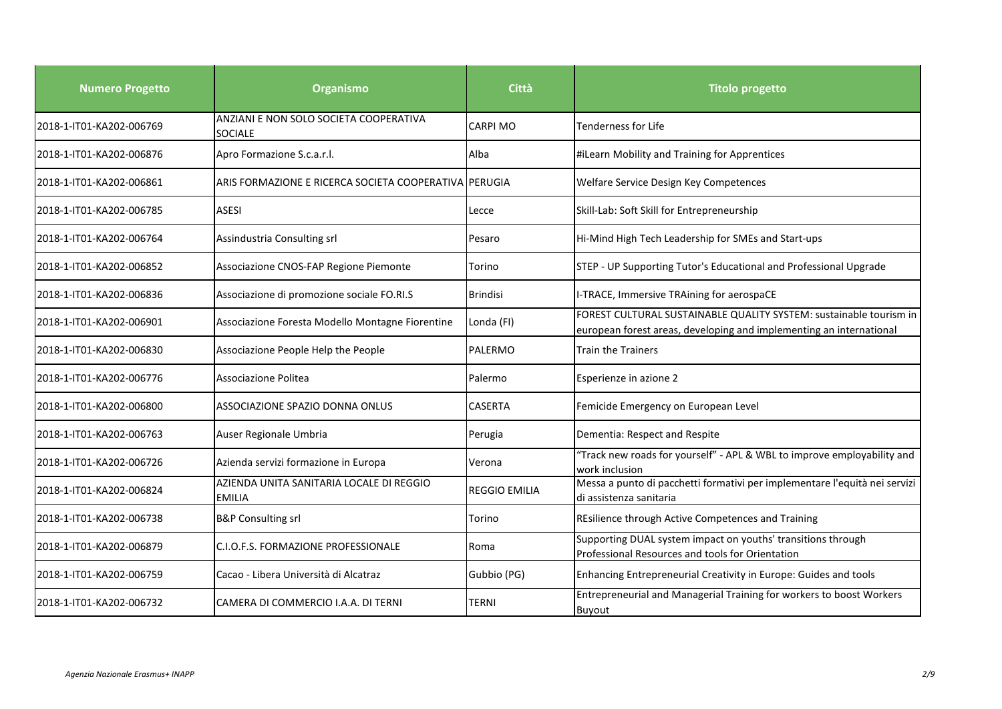| <b>Numero Progetto</b>   | <b>Organismo</b>                                          | <b>Città</b>         | <b>Titolo progetto</b>                                                                                                                    |
|--------------------------|-----------------------------------------------------------|----------------------|-------------------------------------------------------------------------------------------------------------------------------------------|
| 2018-1-IT01-KA202-006769 | ANZIANI E NON SOLO SOCIETA COOPERATIVA<br>SOCIALE         | <b>CARPI MO</b>      | Tenderness for Life                                                                                                                       |
| 2018-1-IT01-KA202-006876 | Apro Formazione S.c.a.r.l.                                | Alba                 | #iLearn Mobility and Training for Apprentices                                                                                             |
| 2018-1-IT01-KA202-006861 | ARIS FORMAZIONE E RICERCA SOCIETA COOPERATIVA PERUGIA     |                      | Welfare Service Design Key Competences                                                                                                    |
| 2018-1-IT01-KA202-006785 | ASESI                                                     | Lecce                | Skill-Lab: Soft Skill for Entrepreneurship                                                                                                |
| 2018-1-IT01-KA202-006764 | Assindustria Consulting srl                               | Pesaro               | Hi-Mind High Tech Leadership for SMEs and Start-ups                                                                                       |
| 2018-1-IT01-KA202-006852 | Associazione CNOS-FAP Regione Piemonte                    | Torino               | STEP - UP Supporting Tutor's Educational and Professional Upgrade                                                                         |
| 2018-1-IT01-KA202-006836 | Associazione di promozione sociale FO.RI.S                | <b>Brindisi</b>      | I-TRACE, Immersive TRAining for aerospaCE                                                                                                 |
| 2018-1-IT01-KA202-006901 | Associazione Foresta Modello Montagne Fiorentine          | Londa (FI)           | FOREST CULTURAL SUSTAINABLE QUALITY SYSTEM: sustainable tourism in<br>european forest areas, developing and implementing an international |
| 2018-1-IT01-KA202-006830 | Associazione People Help the People                       | PALERMO              | Train the Trainers                                                                                                                        |
| 2018-1-IT01-KA202-006776 | Associazione Politea                                      | Palermo              | Esperienze in azione 2                                                                                                                    |
| 2018-1-IT01-KA202-006800 | <b>ASSOCIAZIONE SPAZIO DONNA ONLUS</b>                    | <b>CASERTA</b>       | Femicide Emergency on European Level                                                                                                      |
| 2018-1-IT01-KA202-006763 | Auser Regionale Umbria                                    | Perugia              | Dementia: Respect and Respite                                                                                                             |
| 2018-1-IT01-KA202-006726 | Azienda servizi formazione in Europa                      | Verona               | "Track new roads for yourself" - APL & WBL to improve employability and<br>work inclusion                                                 |
| 2018-1-IT01-KA202-006824 | AZIENDA UNITA SANITARIA LOCALE DI REGGIO<br><b>EMILIA</b> | <b>REGGIO EMILIA</b> | Messa a punto di pacchetti formativi per implementare l'equità nei servizi<br>di assistenza sanitaria                                     |
| 2018-1-IT01-KA202-006738 | <b>B&amp;P Consulting srl</b>                             | Torino               | REsilience through Active Competences and Training                                                                                        |
| 2018-1-IT01-KA202-006879 | C.I.O.F.S. FORMAZIONE PROFESSIONALE                       | Roma                 | Supporting DUAL system impact on youths' transitions through<br>Professional Resources and tools for Orientation                          |
| 2018-1-IT01-KA202-006759 | Cacao - Libera Università di Alcatraz                     | Gubbio (PG)          | Enhancing Entrepreneurial Creativity in Europe: Guides and tools                                                                          |
| 2018-1-IT01-KA202-006732 | CAMERA DI COMMERCIO I.A.A. DI TERNI                       | TERNI                | Entrepreneurial and Managerial Training for workers to boost Workers<br><b>Buyout</b>                                                     |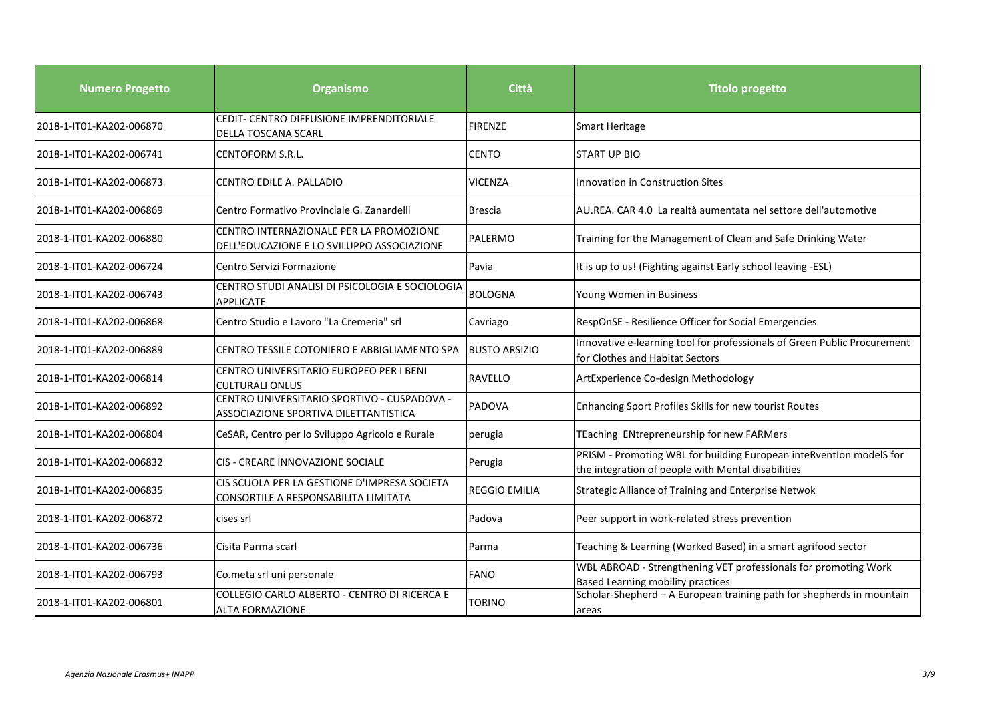| <b>Numero Progetto</b>   | <b>Organismo</b>                                                                      | Città                | <b>Titolo progetto</b>                                                                                                    |
|--------------------------|---------------------------------------------------------------------------------------|----------------------|---------------------------------------------------------------------------------------------------------------------------|
| 2018-1-IT01-KA202-006870 | CEDIT- CENTRO DIFFUSIONE IMPRENDITORIALE<br>DELLA TOSCANA SCARL                       | <b>FIRENZE</b>       | <b>Smart Heritage</b>                                                                                                     |
| 2018-1-IT01-KA202-006741 | CENTOFORM S.R.L.                                                                      | <b>CENTO</b>         | <b>START UP BIO</b>                                                                                                       |
| 2018-1-IT01-KA202-006873 | CENTRO EDILE A. PALLADIO                                                              | <b>VICENZA</b>       | <b>Innovation in Construction Sites</b>                                                                                   |
| 2018-1-IT01-KA202-006869 | Centro Formativo Provinciale G. Zanardelli                                            | <b>Brescia</b>       | AU.REA. CAR 4.0 La realtà aumentata nel settore dell'automotive                                                           |
| 2018-1-IT01-KA202-006880 | CENTRO INTERNAZIONALE PER LA PROMOZIONE<br>DELL'EDUCAZIONE E LO SVILUPPO ASSOCIAZIONE | PALERMO              | Training for the Management of Clean and Safe Drinking Water                                                              |
| 2018-1-IT01-KA202-006724 | Centro Servizi Formazione                                                             | Pavia                | It is up to us! (Fighting against Early school leaving -ESL)                                                              |
| 2018-1-IT01-KA202-006743 | CENTRO STUDI ANALISI DI PSICOLOGIA E SOCIOLOGIA<br>APPLICATE                          | <b>BOLOGNA</b>       | Young Women in Business                                                                                                   |
| 2018-1-IT01-KA202-006868 | Centro Studio e Lavoro "La Cremeria" srl                                              | Cavriago             | RespOnSE - Resilience Officer for Social Emergencies                                                                      |
| 2018-1-IT01-KA202-006889 | ICENTRO TESSILE COTONIERO E ABBIGLIAMENTO SPA                                         | <b>BUSTO ARSIZIO</b> | Innovative e-learning tool for professionals of Green Public Procurement<br>for Clothes and Habitat Sectors               |
| 2018-1-IT01-KA202-006814 | CENTRO UNIVERSITARIO EUROPEO PER I BENI<br><b>CULTURALI ONLUS</b>                     | <b>RAVELLO</b>       | ArtExperience Co-design Methodology                                                                                       |
| 2018-1-IT01-KA202-006892 | CENTRO UNIVERSITARIO SPORTIVO - CUSPADOVA -<br>ASSOCIAZIONE SPORTIVA DILETTANTISTICA  | <b>PADOVA</b>        | Enhancing Sport Profiles Skills for new tourist Routes                                                                    |
| 2018-1-IT01-KA202-006804 | CeSAR, Centro per lo Sviluppo Agricolo e Rurale                                       | perugia              | TEaching ENtrepreneurship for new FARMers                                                                                 |
| 2018-1-IT01-KA202-006832 | CIS - CREARE INNOVAZIONE SOCIALE                                                      | Perugia              | PRISM - Promoting WBL for building European inteRventIon modelS for<br>the integration of people with Mental disabilities |
| 2018-1-IT01-KA202-006835 | CIS SCUOLA PER LA GESTIONE D'IMPRESA SOCIETA<br>CONSORTILE A RESPONSABILITA LIMITATA  | <b>REGGIO EMILIA</b> | Strategic Alliance of Training and Enterprise Netwok                                                                      |
| 2018-1-IT01-KA202-006872 | cises srl                                                                             | Padova               | Peer support in work-related stress prevention                                                                            |
| 2018-1-IT01-KA202-006736 | Cisita Parma scarl                                                                    | Parma                | Teaching & Learning (Worked Based) in a smart agrifood sector                                                             |
| 2018-1-IT01-KA202-006793 | Co.meta srl uni personale                                                             | <b>FANO</b>          | WBL ABROAD - Strengthening VET professionals for promoting Work<br><b>Based Learning mobility practices</b>               |
| 2018-1-IT01-KA202-006801 | COLLEGIO CARLO ALBERTO - CENTRO DI RICERCA E<br><b>ALTA FORMAZIONE</b>                | <b>TORINO</b>        | Scholar-Shepherd - A European training path for shepherds in mountain<br>areas                                            |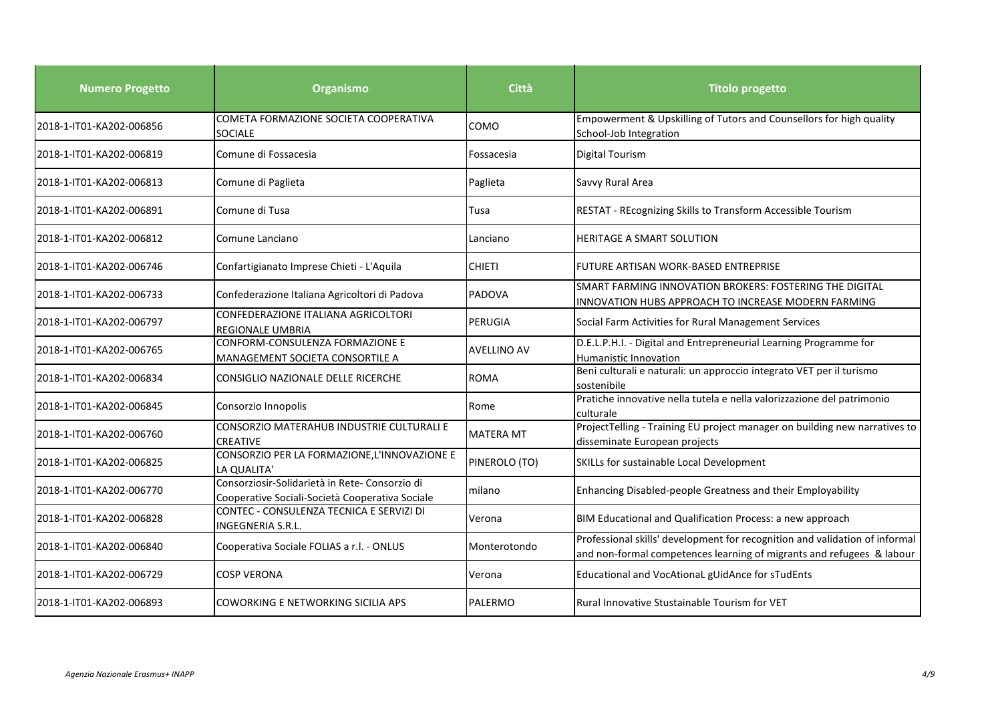| <b>Numero Progetto</b>   | <b>Organismo</b>                                                                                 | <b>Città</b>       | <b>Titolo progetto</b>                                                                                                                               |
|--------------------------|--------------------------------------------------------------------------------------------------|--------------------|------------------------------------------------------------------------------------------------------------------------------------------------------|
| 2018-1-IT01-KA202-006856 | COMETA FORMAZIONE SOCIETA COOPERATIVA<br><b>SOCIALE</b>                                          | COMO               | Empowerment & Upskilling of Tutors and Counsellors for high quality<br>School-Job Integration                                                        |
| 2018-1-IT01-KA202-006819 | Comune di Fossacesia                                                                             | Fossacesia         | <b>Digital Tourism</b>                                                                                                                               |
| 2018-1-IT01-KA202-006813 | Comune di Paglieta                                                                               | Paglieta           | Savvy Rural Area                                                                                                                                     |
| 2018-1-IT01-KA202-006891 | Comune di Tusa                                                                                   | Tusa               | RESTAT - REcognizing Skills to Transform Accessible Tourism                                                                                          |
| 2018-1-IT01-KA202-006812 | Comune Lanciano                                                                                  | Lanciano           | <b>HERITAGE A SMART SOLUTION</b>                                                                                                                     |
| 2018-1-IT01-KA202-006746 | Confartigianato Imprese Chieti - L'Aquila                                                        | <b>CHIETI</b>      | FUTURE ARTISAN WORK-BASED ENTREPRISE                                                                                                                 |
| 2018-1-IT01-KA202-006733 | Confederazione Italiana Agricoltori di Padova                                                    | PADOVA             | SMART FARMING INNOVATION BROKERS: FOSTERING THE DIGITAL<br>INNOVATION HUBS APPROACH TO INCREASE MODERN FARMING                                       |
| 2018-1-IT01-KA202-006797 | CONFEDERAZIONE ITALIANA AGRICOLTORI<br>REGIONALE UMBRIA                                          | PERUGIA            | Social Farm Activities for Rural Management Services                                                                                                 |
| 2018-1-IT01-KA202-006765 | CONFORM-CONSULENZA FORMAZIONE E<br>MANAGEMENT SOCIETA CONSORTILE A                               | <b>AVELLINO AV</b> | D.E.L.P.H.I. - Digital and Entrepreneurial Learning Programme for<br>Humanistic Innovation                                                           |
| 2018-1-IT01-KA202-006834 | CONSIGLIO NAZIONALE DELLE RICERCHE                                                               | <b>ROMA</b>        | Beni culturali e naturali: un approccio integrato VET per il turismo<br>sostenibile                                                                  |
| 2018-1-IT01-KA202-006845 | Consorzio Innopolis                                                                              | Rome               | Pratiche innovative nella tutela e nella valorizzazione del patrimonio<br>culturale                                                                  |
| 2018-1-IT01-KA202-006760 | CONSORZIO MATERAHUB INDUSTRIE CULTURALI E<br><b>CREATIVE</b>                                     | <b>MATERA MT</b>   | ProjectTelling - Training EU project manager on building new narratives to<br>disseminate European projects                                          |
| 2018-1-IT01-KA202-006825 | CONSORZIO PER LA FORMAZIONE, L'INNOVAZIONE E<br>LA QUALITA'                                      | PINEROLO (TO)      | SKILLs for sustainable Local Development                                                                                                             |
| 2018-1-IT01-KA202-006770 | Consorziosir-Solidarietà in Rete-Consorzio di<br>Cooperative Sociali-Società Cooperativa Sociale | milano             | Enhancing Disabled-people Greatness and their Employability                                                                                          |
| 2018-1-IT01-KA202-006828 | CONTEC - CONSULENZA TECNICA E SERVIZI DI<br>INGEGNERIA S.R.L.                                    | Verona             | BIM Educational and Qualification Process: a new approach                                                                                            |
| 2018-1-IT01-KA202-006840 | Cooperativa Sociale FOLIAS a r.l. - ONLUS                                                        | Monterotondo       | Professional skills' development for recognition and validation of informal<br>and non-formal competences learning of migrants and refugees & labour |
| 2018-1-IT01-KA202-006729 | COSP VERONA                                                                                      | Verona             | Educational and VocAtionaL gUidAnce for sTudEnts                                                                                                     |
| 2018-1-IT01-KA202-006893 | COWORKING E NETWORKING SICILIA APS                                                               | PALERMO            | <b>Rural Innovative Stustainable Tourism for VET</b>                                                                                                 |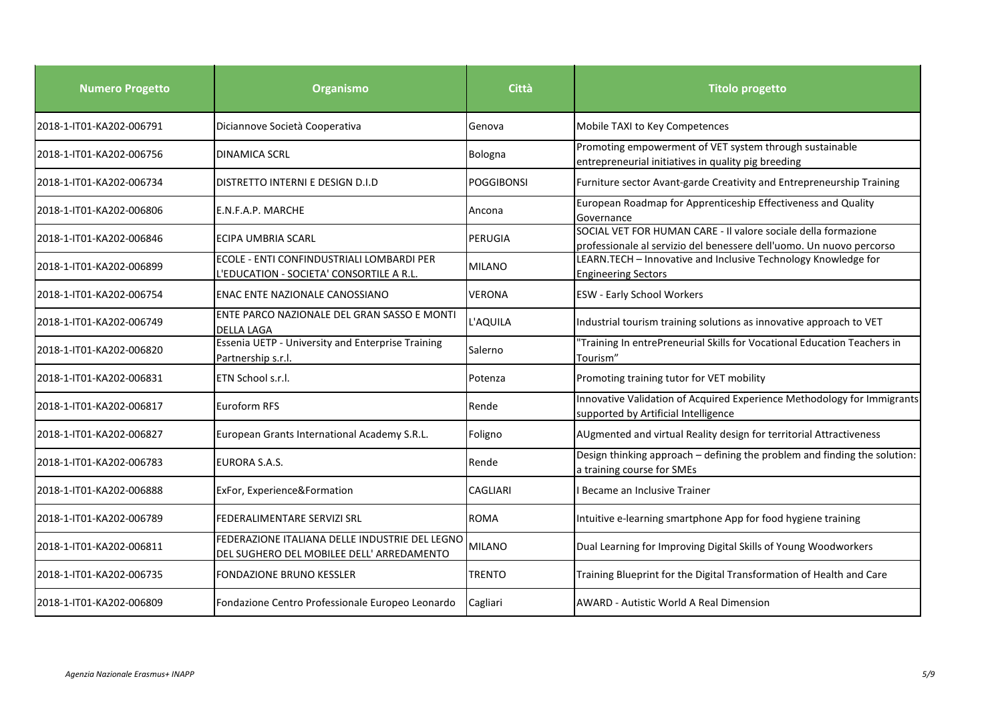| <b>Numero Progetto</b>   | Organismo                                                                                   | <b>Città</b>      | <b>Titolo progetto</b>                                                                                                                 |
|--------------------------|---------------------------------------------------------------------------------------------|-------------------|----------------------------------------------------------------------------------------------------------------------------------------|
| 2018-1-IT01-KA202-006791 | Diciannove Società Cooperativa                                                              | Genova            | Mobile TAXI to Key Competences                                                                                                         |
| 2018-1-IT01-KA202-006756 | <b>DINAMICA SCRL</b>                                                                        | <b>Bologna</b>    | Promoting empowerment of VET system through sustainable<br>entrepreneurial initiatives in quality pig breeding                         |
| 2018-1-IT01-KA202-006734 | DISTRETTO INTERNI E DESIGN D.I.D                                                            | <b>POGGIBONSI</b> | Furniture sector Avant-garde Creativity and Entrepreneurship Training                                                                  |
| 2018-1-IT01-KA202-006806 | E.N.F.A.P. MARCHE                                                                           | Ancona            | European Roadmap for Apprenticeship Effectiveness and Quality<br>Governance                                                            |
| 2018-1-IT01-KA202-006846 | ECIPA UMBRIA SCARL                                                                          | PERUGIA           | SOCIAL VET FOR HUMAN CARE - Il valore sociale della formazione<br>professionale al servizio del benessere dell'uomo. Un nuovo percorso |
| 2018-1-IT01-KA202-006899 | ECOLE - ENTI CONFINDUSTRIALI LOMBARDI PER<br>L'EDUCATION - SOCIETA' CONSORTILE A R.L.       | <b>MILANO</b>     | LEARN.TECH - Innovative and Inclusive Technology Knowledge for<br><b>Engineering Sectors</b>                                           |
| 2018-1-IT01-KA202-006754 | ENAC ENTE NAZIONALE CANOSSIANO                                                              | <b>VERONA</b>     | <b>ESW - Early School Workers</b>                                                                                                      |
| 2018-1-IT01-KA202-006749 | ENTE PARCO NAZIONALE DEL GRAN SASSO E MONTI<br><b>DELLA LAGA</b>                            | L'AQUILA          | Industrial tourism training solutions as innovative approach to VET                                                                    |
| 2018-1-IT01-KA202-006820 | <b>Essenia UETP - University and Enterprise Training</b><br>Partnership s.r.l.              | Salerno           | "Training In entrePreneurial Skills for Vocational Education Teachers in<br>Tourism"                                                   |
| 2018-1-IT01-KA202-006831 | ETN School s.r.l.                                                                           | Potenza           | Promoting training tutor for VET mobility                                                                                              |
| 2018-1-IT01-KA202-006817 | Euroform RFS                                                                                | Rende             | Innovative Validation of Acquired Experience Methodology for Immigrants<br>supported by Artificial Intelligence                        |
| 2018-1-IT01-KA202-006827 | European Grants International Academy S.R.L.                                                | Foligno           | AUgmented and virtual Reality design for territorial Attractiveness                                                                    |
| 2018-1-IT01-KA202-006783 | <b>EURORA S.A.S.</b>                                                                        | Rende             | Design thinking approach - defining the problem and finding the solution:<br>a training course for SMEs                                |
| 2018-1-IT01-KA202-006888 | ExFor, Experience&Formation                                                                 | <b>CAGLIARI</b>   | I Became an Inclusive Trainer                                                                                                          |
| 2018-1-IT01-KA202-006789 | FEDERALIMENTARE SERVIZI SRL                                                                 | <b>ROMA</b>       | Intuitive e-learning smartphone App for food hygiene training                                                                          |
| 2018-1-IT01-KA202-006811 | FEDERAZIONE ITALIANA DELLE INDUSTRIE DEL LEGNO<br>DEL SUGHERO DEL MOBILEE DELL' ARREDAMENTO | <b>MILANO</b>     | Dual Learning for Improving Digital Skills of Young Woodworkers                                                                        |
| 2018-1-IT01-KA202-006735 | FONDAZIONE BRUNO KESSLER                                                                    | <b>TRENTO</b>     | Training Blueprint for the Digital Transformation of Health and Care                                                                   |
| 2018-1-IT01-KA202-006809 | Fondazione Centro Professionale Europeo Leonardo                                            | Cagliari          | AWARD - Autistic World A Real Dimension                                                                                                |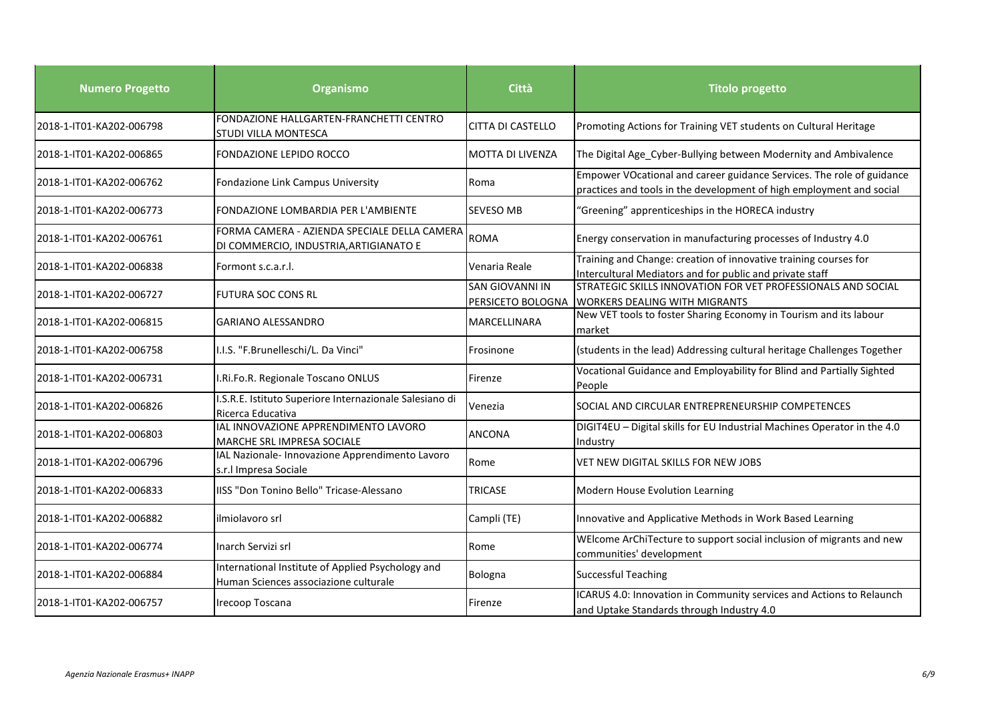| <b>Numero Progetto</b>   | <b>Organismo</b>                                                                           | <b>Città</b>                                | <b>Titolo progetto</b>                                                                                                                        |
|--------------------------|--------------------------------------------------------------------------------------------|---------------------------------------------|-----------------------------------------------------------------------------------------------------------------------------------------------|
| 2018-1-IT01-KA202-006798 | FONDAZIONE HALLGARTEN-FRANCHETTI CENTRO<br>STUDI VILLA MONTESCA                            | <b>CITTA DI CASTELLO</b>                    | Promoting Actions for Training VET students on Cultural Heritage                                                                              |
| 2018-1-IT01-KA202-006865 | FONDAZIONE LEPIDO ROCCO                                                                    | <b>MOTTA DI LIVENZA</b>                     | The Digital Age_Cyber-Bullying between Modernity and Ambivalence                                                                              |
| 2018-1-IT01-KA202-006762 | Fondazione Link Campus University                                                          | Roma                                        | Empower VOcational and career guidance Services. The role of guidance<br>practices and tools in the development of high employment and social |
| 2018-1-IT01-KA202-006773 | FONDAZIONE LOMBARDIA PER L'AMBIENTE                                                        | <b>SEVESO MB</b>                            | "Greening" apprenticeships in the HORECA industry                                                                                             |
| 2018-1-IT01-KA202-006761 | FORMA CAMERA - AZIENDA SPECIALE DELLA CAMERA<br>DI COMMERCIO, INDUSTRIA, ARTIGIANATO E     | <b>ROMA</b>                                 | Energy conservation in manufacturing processes of Industry 4.0                                                                                |
| 2018-1-IT01-KA202-006838 | Formont s.c.a.r.l.                                                                         | Venaria Reale                               | Training and Change: creation of innovative training courses for<br>Intercultural Mediators and for public and private staff                  |
| 2018-1-IT01-KA202-006727 | <b>FUTURA SOC CONS RL</b>                                                                  | <b>SAN GIOVANNI IN</b><br>PERSICETO BOLOGNA | STRATEGIC SKILLS INNOVATION FOR VET PROFESSIONALS AND SOCIAL<br><b>WORKERS DEALING WITH MIGRANTS</b>                                          |
| 2018-1-IT01-KA202-006815 | <b>GARIANO ALESSANDRO</b>                                                                  | MARCELLINARA                                | New VET tools to foster Sharing Economy in Tourism and its labour<br>market                                                                   |
| 2018-1-IT01-KA202-006758 | I.I.S. "F.Brunelleschi/L. Da Vinci"                                                        | Frosinone                                   | (students in the lead) Addressing cultural heritage Challenges Together                                                                       |
| 2018-1-IT01-KA202-006731 | I.Ri.Fo.R. Regionale Toscano ONLUS                                                         | Firenze                                     | Vocational Guidance and Employability for Blind and Partially Sighted<br>People                                                               |
| 2018-1-IT01-KA202-006826 | I.S.R.E. Istituto Superiore Internazionale Salesiano di<br>Ricerca Educativa               | Venezia                                     | SOCIAL AND CIRCULAR ENTREPRENEURSHIP COMPETENCES                                                                                              |
| 2018-1-IT01-KA202-006803 | IAL INNOVAZIONE APPRENDIMENTO LAVORO<br>MARCHE SRL IMPRESA SOCIALE                         | <b>ANCONA</b>                               | DIGIT4EU - Digital skills for EU Industrial Machines Operator in the 4.0<br>Industry                                                          |
| 2018-1-IT01-KA202-006796 | IAL Nazionale- Innovazione Apprendimento Lavoro<br>s.r.l Impresa Sociale                   | Rome                                        | VET NEW DIGITAL SKILLS FOR NEW JOBS                                                                                                           |
| 2018-1-IT01-KA202-006833 | IISS "Don Tonino Bello" Tricase-Alessano                                                   | <b>TRICASE</b>                              | Modern House Evolution Learning                                                                                                               |
| 2018-1-IT01-KA202-006882 | ilmiolavoro srl                                                                            | Campli (TE)                                 | Innovative and Applicative Methods in Work Based Learning                                                                                     |
| 2018-1-IT01-KA202-006774 | Inarch Servizi srl                                                                         | Rome                                        | WEIcome ArChiTecture to support social inclusion of migrants and new<br>communities' development                                              |
| 2018-1-IT01-KA202-006884 | International Institute of Applied Psychology and<br>Human Sciences associazione culturale | <b>Bologna</b>                              | <b>Successful Teaching</b>                                                                                                                    |
| 2018-1-IT01-KA202-006757 | Irecoop Toscana                                                                            | Firenze                                     | ICARUS 4.0: Innovation in Community services and Actions to Relaunch<br>and Uptake Standards through Industry 4.0                             |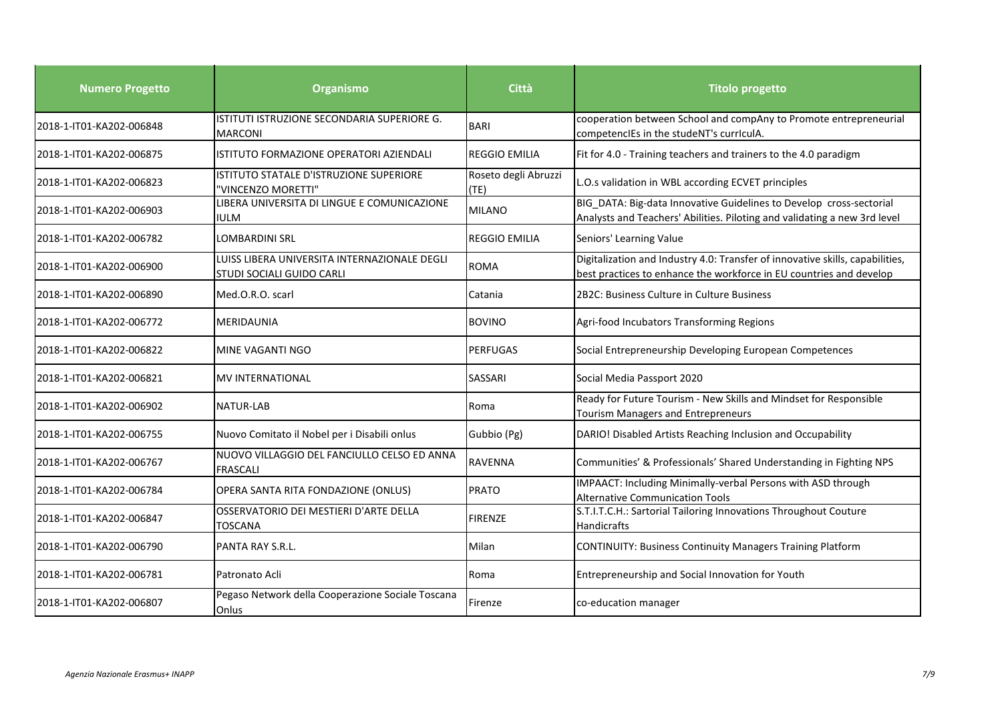| <b>Numero Progetto</b>   | <b>Organismo</b>                                                          | <b>Città</b>                 | <b>Titolo progetto</b>                                                                                                                               |
|--------------------------|---------------------------------------------------------------------------|------------------------------|------------------------------------------------------------------------------------------------------------------------------------------------------|
| 2018-1-IT01-KA202-006848 | ISTITUTI ISTRUZIONE SECONDARIA SUPERIORE G.<br><b>MARCONI</b>             | <b>BARI</b>                  | cooperation between School and compAny to Promote entrepreneurial<br>competencIEs in the studeNT's currIculA.                                        |
| 2018-1-IT01-KA202-006875 | ISTITUTO FORMAZIONE OPERATORI AZIENDALI                                   | <b>REGGIO EMILIA</b>         | Fit for 4.0 - Training teachers and trainers to the 4.0 paradigm                                                                                     |
| 2018-1-IT01-KA202-006823 | ISTITUTO STATALE D'ISTRUZIONE SUPERIORE<br>'VINCENZO MORETTI"             | Roseto degli Abruzzi<br>(TE) | L.O.s validation in WBL according ECVET principles                                                                                                   |
| 2018-1-IT01-KA202-006903 | LIBERA UNIVERSITA DI LINGUE E COMUNICAZIONE<br><b>IULM</b>                | <b>MILANO</b>                | BIG DATA: Big-data Innovative Guidelines to Develop cross-sectorial<br>Analysts and Teachers' Abilities. Piloting and validating a new 3rd level     |
| 2018-1-IT01-KA202-006782 | LOMBARDINI SRL                                                            | <b>REGGIO EMILIA</b>         | Seniors' Learning Value                                                                                                                              |
| 2018-1-IT01-KA202-006900 | LUISS LIBERA UNIVERSITA INTERNAZIONALE DEGLI<br>STUDI SOCIALI GUIDO CARLI | <b>ROMA</b>                  | Digitalization and Industry 4.0: Transfer of innovative skills, capabilities,<br>best practices to enhance the workforce in EU countries and develop |
| 2018-1-IT01-KA202-006890 | Med.O.R.O. scarl                                                          | Catania                      | 2B2C: Business Culture in Culture Business                                                                                                           |
| 2018-1-IT01-KA202-006772 | <b>MERIDAUNIA</b>                                                         | <b>BOVINO</b>                | Agri-food Incubators Transforming Regions                                                                                                            |
| 2018-1-IT01-KA202-006822 | <b>MINE VAGANTI NGO</b>                                                   | <b>PERFUGAS</b>              | Social Entrepreneurship Developing European Competences                                                                                              |
| 2018-1-IT01-KA202-006821 | <b>MV INTERNATIONAL</b>                                                   | <b>SASSARI</b>               | Social Media Passport 2020                                                                                                                           |
| 2018-1-IT01-KA202-006902 | <b>NATUR-LAB</b>                                                          | Roma                         | Ready for Future Tourism - New Skills and Mindset for Responsible<br><b>Tourism Managers and Entrepreneurs</b>                                       |
| 2018-1-IT01-KA202-006755 | Nuovo Comitato il Nobel per i Disabili onlus                              | Gubbio (Pg)                  | DARIO! Disabled Artists Reaching Inclusion and Occupability                                                                                          |
| 2018-1-IT01-KA202-006767 | NUOVO VILLAGGIO DEL FANCIULLO CELSO ED ANNA<br><b>FRASCALI</b>            | <b>RAVENNA</b>               | Communities' & Professionals' Shared Understanding in Fighting NPS                                                                                   |
| 2018-1-IT01-KA202-006784 | OPERA SANTA RITA FONDAZIONE (ONLUS)                                       | PRATO                        | IMPAACT: Including Minimally-verbal Persons with ASD through<br><b>Alternative Communication Tools</b>                                               |
| 2018-1-IT01-KA202-006847 | OSSERVATORIO DEI MESTIERI D'ARTE DELLA<br>TOSCANA                         | <b>FIRENZE</b>               | S.T.I.T.C.H.: Sartorial Tailoring Innovations Throughout Couture<br><b>Handicrafts</b>                                                               |
| 2018-1-IT01-KA202-006790 | <b>PANTA RAY S.R.L.</b>                                                   | Milan                        | <b>CONTINUITY: Business Continuity Managers Training Platform</b>                                                                                    |
| 2018-1-IT01-KA202-006781 | Patronato Acli                                                            | Roma                         | Entrepreneurship and Social Innovation for Youth                                                                                                     |
| 2018-1-IT01-KA202-006807 | Pegaso Network della Cooperazione Sociale Toscana<br>Onlus                | Firenze                      | co-education manager                                                                                                                                 |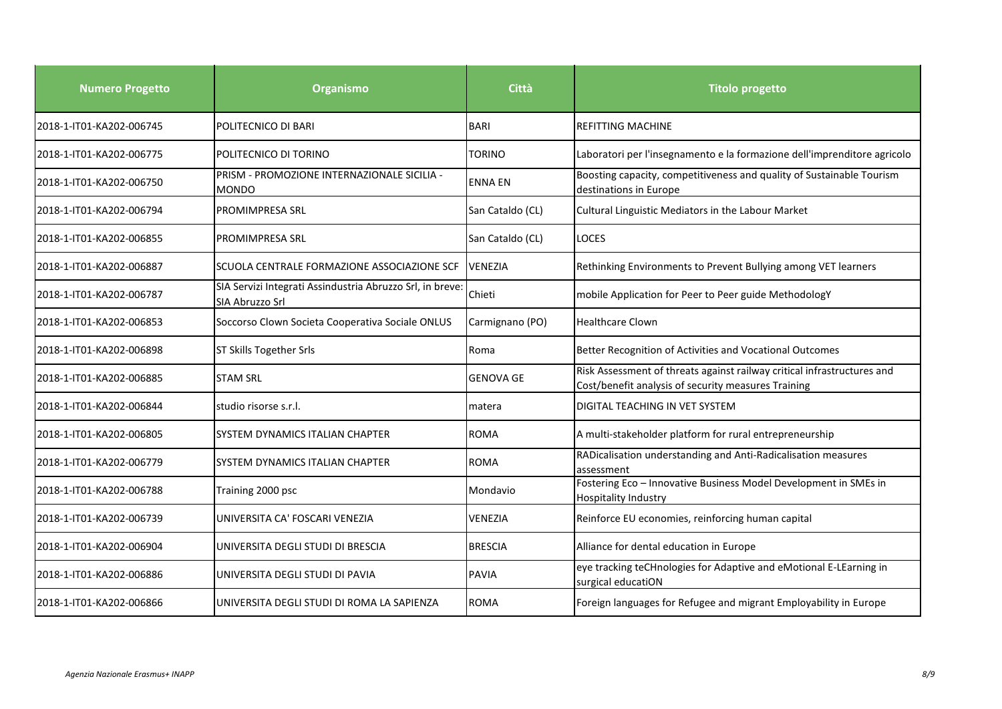| <b>Numero Progetto</b>   | <b>Organismo</b>                                                             | <b>Città</b>     | <b>Titolo progetto</b>                                                                                                         |
|--------------------------|------------------------------------------------------------------------------|------------------|--------------------------------------------------------------------------------------------------------------------------------|
| 2018-1-IT01-KA202-006745 | POLITECNICO DI BARI                                                          | <b>BARI</b>      | <b>REFITTING MACHINE</b>                                                                                                       |
| 2018-1-IT01-KA202-006775 | POLITECNICO DI TORINO                                                        | TORINO           | Laboratori per l'insegnamento e la formazione dell'imprenditore agricolo                                                       |
| 2018-1-IT01-KA202-006750 | PRISM - PROMOZIONE INTERNAZIONALE SICILIA -<br><b>MONDO</b>                  | <b>ENNA EN</b>   | Boosting capacity, competitiveness and quality of Sustainable Tourism<br>destinations in Europe                                |
| 2018-1-IT01-KA202-006794 | <b>PROMIMPRESA SRL</b>                                                       | San Cataldo (CL) | Cultural Linguistic Mediators in the Labour Market                                                                             |
| 2018-1-IT01-KA202-006855 | <b>PROMIMPRESA SRL</b>                                                       | San Cataldo (CL) | <b>LOCES</b>                                                                                                                   |
| 2018-1-IT01-KA202-006887 | SCUOLA CENTRALE FORMAZIONE ASSOCIAZIONE SCF                                  | <b>VENEZIA</b>   | Rethinking Environments to Prevent Bullying among VET learners                                                                 |
| 2018-1-IT01-KA202-006787 | SIA Servizi Integrati Assindustria Abruzzo Srl, in breve:<br>SIA Abruzzo Srl | Chieti           | mobile Application for Peer to Peer guide MethodologY                                                                          |
| 2018-1-IT01-KA202-006853 | Soccorso Clown Societa Cooperativa Sociale ONLUS                             | Carmignano (PO)  | <b>Healthcare Clown</b>                                                                                                        |
| 2018-1-IT01-KA202-006898 | ST Skills Together Srls                                                      | Roma             | Better Recognition of Activities and Vocational Outcomes                                                                       |
| 2018-1-IT01-KA202-006885 | <b>STAM SRL</b>                                                              | <b>GENOVA GE</b> | Risk Assessment of threats against railway critical infrastructures and<br>Cost/benefit analysis of security measures Training |
| 2018-1-IT01-KA202-006844 | studio risorse s.r.l.                                                        | matera           | <b>DIGITAL TEACHING IN VET SYSTEM</b>                                                                                          |
| 2018-1-IT01-KA202-006805 | <b>SYSTEM DYNAMICS ITALIAN CHAPTER</b>                                       | <b>ROMA</b>      | A multi-stakeholder platform for rural entrepreneurship                                                                        |
| 2018-1-IT01-KA202-006779 | SYSTEM DYNAMICS ITALIAN CHAPTER                                              | <b>ROMA</b>      | RADicalisation understanding and Anti-Radicalisation measures<br>assessment                                                    |
| 2018-1-IT01-KA202-006788 | Training 2000 psc                                                            | Mondavio         | Fostering Eco - Innovative Business Model Development in SMEs in<br><b>Hospitality Industry</b>                                |
| 2018-1-IT01-KA202-006739 | UNIVERSITA CA' FOSCARI VENEZIA                                               | <b>VENEZIA</b>   | Reinforce EU economies, reinforcing human capital                                                                              |
| 2018-1-IT01-KA202-006904 | UNIVERSITA DEGLI STUDI DI BRESCIA                                            | <b>BRESCIA</b>   | Alliance for dental education in Europe                                                                                        |
| 2018-1-IT01-KA202-006886 | UNIVERSITA DEGLI STUDI DI PAVIA                                              | <b>PAVIA</b>     | eye tracking teCHnologies for Adaptive and eMotional E-LEarning in<br>surgical educatiON                                       |
| 2018-1-IT01-KA202-006866 | UNIVERSITA DEGLI STUDI DI ROMA LA SAPIENZA                                   | <b>ROMA</b>      | Foreign languages for Refugee and migrant Employability in Europe                                                              |